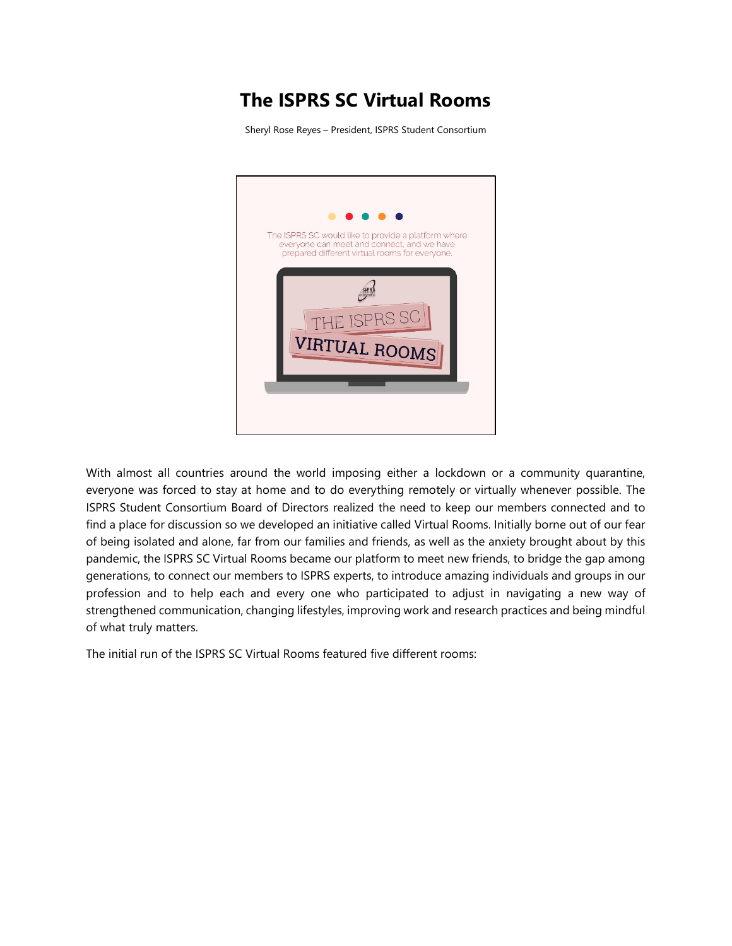# **The ISPRS SC Virtual Rooms**

Sheryl Rose Reyes – President, ISPRS Student Consortium



With almost all countries around the world imposing either a lockdown or a community quarantine, everyone was forced to stay at home and to do everything remotely or virtually whenever possible. The ISPRS Student Consortium Board of Directors realized the need to keep our members connected and to find a place for discussion so we developed an initiative called Virtual Rooms. Initially borne out of our fear of being isolated and alone, far from our families and friends, as well as the anxiety brought about by this pandemic, the ISPRS SC Virtual Rooms became our platform to meet new friends, to bridge the gap among generations, to connect our members to ISPRS experts, to introduce amazing individuals and groups in our profession and to help each and every one who participated to adjust in navigating a new way of strengthened communication, changing lifestyles, improving work and research practices and being mindful of what truly matters.

The initial run of the ISPRS SC Virtual Rooms featured five different rooms: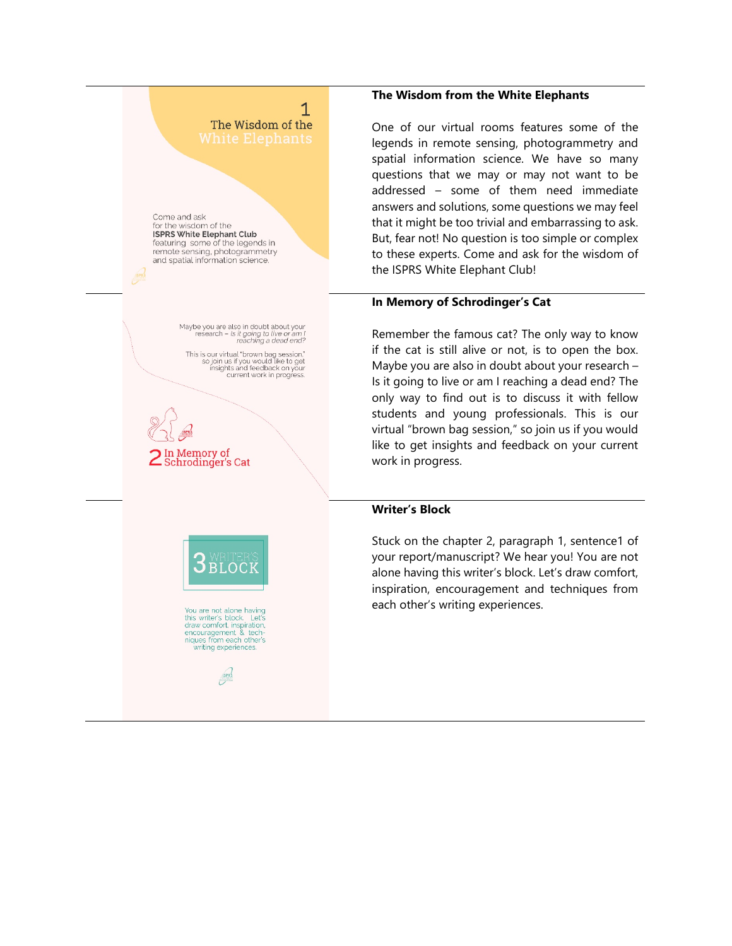# 1 The Wisdom of the

Come and ask for the wisdom of the **ISPRS White Elephant Club** featuring some of the legends in remote sensing, photogrammetry and spatial information science.

> Maybe you are also in doubt about your be you are also in doubt about your<br>research – Is it going to live or am I<br>reaching a dead end?

This is our virtual "brown bag session,"<br>so join us if you would like to get<br>insights and feedback on your<br>current work in progress.

In Memory of Schrodinger's Cat



You are not alone having<br>this writer's block. Let's<br>draw comfort, inspiration, encouragement & tech-<br>niques from each other's<br>writing experiences.

**SPRS** 

#### **The Wisdom from the White Elephants**

One of our virtual rooms features some of the legends in remote sensing, photogrammetry and spatial information science. We have so many questions that we may or may not want to be addressed – some of them need immediate answers and solutions, some questions we may feel that it might be too trivial and embarrassing to ask. But, fear not! No question is too simple or complex to these experts. Come and ask for the wisdom of the ISPRS White Elephant Club!

#### **In Memory of Schrodinger's Cat**

Remember the famous cat? The only way to know if the cat is still alive or not, is to open the box. Maybe you are also in doubt about your research – Is it going to live or am I reaching a dead end? The only way to find out is to discuss it with fellow students and young professionals. This is our virtual "brown bag session," so join us if you would like to get insights and feedback on your current work in progress.

#### **Writer's Block**

Stuck on the chapter 2, paragraph 1, sentence1 of your report/manuscript? We hear you! You are not alone having this writer's block. Let's draw comfort, inspiration, encouragement and techniques from each other's writing experiences.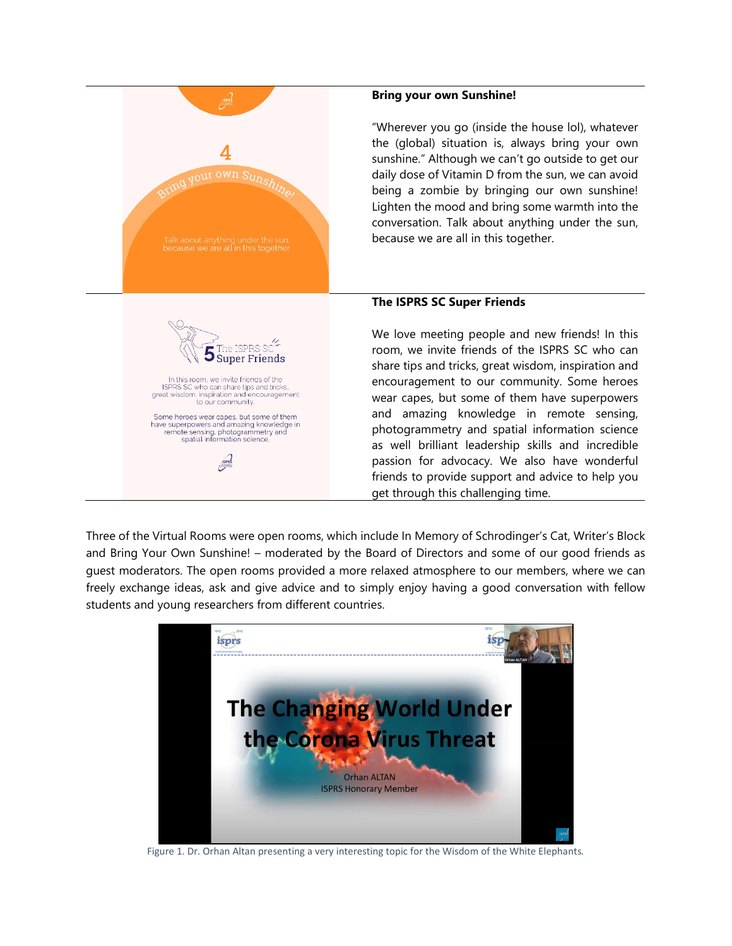

### **Bring your own Sunshine!**

"Wherever you go (inside the house lol), whatever the (global) situation is, always bring your own sunshine." Although we can't go outside to get our daily dose of Vitamin D from the sun, we can avoid being a zombie by bringing our own sunshine! Lighten the mood and bring some warmth into the conversation. Talk about anything under the sun, because we are all in this together.

## **The ISPRS SC Super Friends**

We love meeting people and new friends! In this room, we invite friends of the ISPRS SC who can share tips and tricks, great wisdom, inspiration and encouragement to our community. Some heroes wear capes, but some of them have superpowers and amazing knowledge in remote sensing, photogrammetry and spatial information science as well brilliant leadership skills and incredible passion for advocacy. We also have wonderful friends to provide support and advice to help you get through this challenging time.

Three of the Virtual Rooms were open rooms, which include In Memory of Schrodinger's Cat, Writer's Block and Bring Your Own Sunshine! – moderated by the Board of Directors and some of our good friends as guest moderators. The open rooms provided a more relaxed atmosphere to our members, where we can freely exchange ideas, ask and give advice and to simply enjoy having a good conversation with fellow students and young researchers from different countries.



Figure 1. Dr. Orhan Altan presenting a very interesting topic for the Wisdom of the White Elephants*.*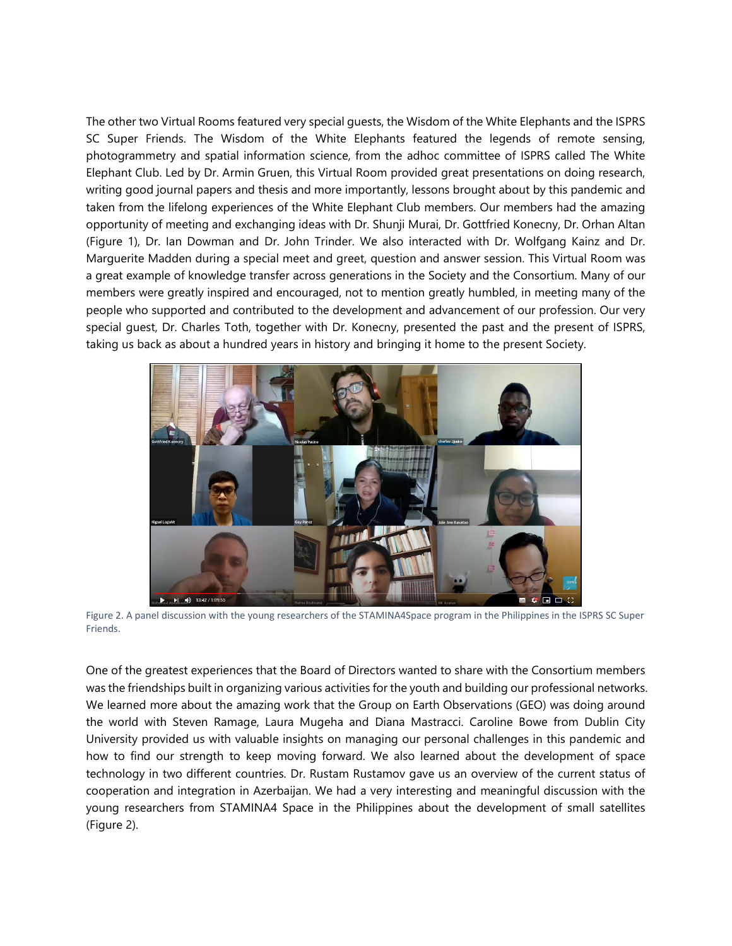The other two Virtual Rooms featured very special guests, the Wisdom of the White Elephants and the ISPRS SC Super Friends. The Wisdom of the White Elephants featured the legends of remote sensing, photogrammetry and spatial information science, from the adhoc committee of ISPRS called The White Elephant Club. Led by Dr. Armin Gruen, this Virtual Room provided great presentations on doing research, writing good journal papers and thesis and more importantly, lessons brought about by this pandemic and taken from the lifelong experiences of the White Elephant Club members. Our members had the amazing opportunity of meeting and exchanging ideas with Dr. Shunji Murai, Dr. Gottfried Konecny, Dr. Orhan Altan (Figure 1), Dr. Ian Dowman and Dr. John Trinder. We also interacted with Dr. Wolfgang Kainz and Dr. Marguerite Madden during a special meet and greet, question and answer session. This Virtual Room was a great example of knowledge transfer across generations in the Society and the Consortium. Many of our members were greatly inspired and encouraged, not to mention greatly humbled, in meeting many of the people who supported and contributed to the development and advancement of our profession. Our very special guest, Dr. Charles Toth, together with Dr. Konecny, presented the past and the present of ISPRS, taking us back as about a hundred years in history and bringing it home to the present Society.



Figure 2. A panel discussion with the young researchers of the STAMINA4Space program in the Philippines in the ISPRS SC Super Friends.

One of the greatest experiences that the Board of Directors wanted to share with the Consortium members was the friendships built in organizing various activities for the youth and building our professional networks. We learned more about the amazing work that the Group on Earth Observations (GEO) was doing around the world with Steven Ramage, Laura Mugeha and Diana Mastracci. Caroline Bowe from Dublin City University provided us with valuable insights on managing our personal challenges in this pandemic and how to find our strength to keep moving forward. We also learned about the development of space technology in two different countries. Dr. Rustam Rustamov gave us an overview of the current status of cooperation and integration in Azerbaijan. We had a very interesting and meaningful discussion with the young researchers from STAMINA4 Space in the Philippines about the development of small satellites (Figure 2).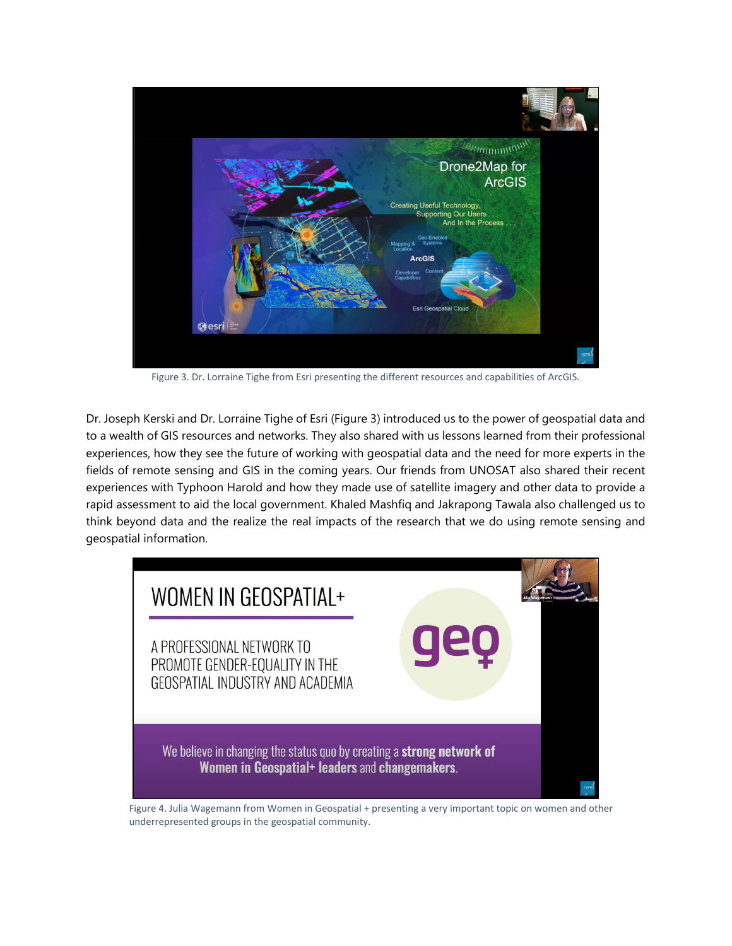

Figure 3. Dr. Lorraine Tighe from Esri presenting the different resources and capabilities of ArcGIS.

Dr. Joseph Kerski and Dr. Lorraine Tighe of Esri (Figure 3) introduced us to the power of geospatial data and to a wealth of GIS resources and networks. They also shared with us lessons learned from their professional experiences, how they see the future of working with geospatial data and the need for more experts in the fields of remote sensing and GIS in the coming years. Our friends from UNOSAT also shared their recent experiences with Typhoon Harold and how they made use of satellite imagery and other data to provide a rapid assessment to aid the local government. Khaled Mashfiq and Jakrapong Tawala also challenged us to think beyond data and the realize the real impacts of the research that we do using remote sensing and geospatial information.



Figure 4. Julia Wagemann from Women in Geospatial + presenting a very important topic on women and other underrepresented groups in the geospatial community.